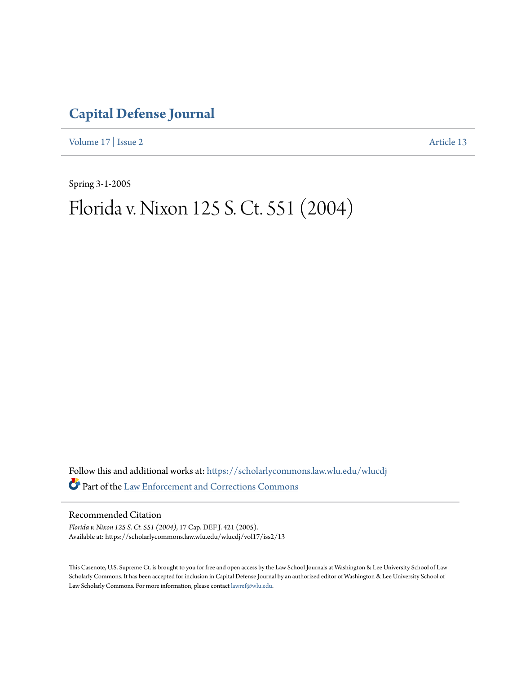## **[Capital Defense Journal](https://scholarlycommons.law.wlu.edu/wlucdj?utm_source=scholarlycommons.law.wlu.edu%2Fwlucdj%2Fvol17%2Fiss2%2F13&utm_medium=PDF&utm_campaign=PDFCoverPages)**

[Volume 17](https://scholarlycommons.law.wlu.edu/wlucdj/vol17?utm_source=scholarlycommons.law.wlu.edu%2Fwlucdj%2Fvol17%2Fiss2%2F13&utm_medium=PDF&utm_campaign=PDFCoverPages) | [Issue 2](https://scholarlycommons.law.wlu.edu/wlucdj/vol17/iss2?utm_source=scholarlycommons.law.wlu.edu%2Fwlucdj%2Fvol17%2Fiss2%2F13&utm_medium=PDF&utm_campaign=PDFCoverPages) [Article 13](https://scholarlycommons.law.wlu.edu/wlucdj/vol17/iss2/13?utm_source=scholarlycommons.law.wlu.edu%2Fwlucdj%2Fvol17%2Fiss2%2F13&utm_medium=PDF&utm_campaign=PDFCoverPages)

Spring 3-1-2005

# Florida v. Nixon 125 S. Ct. 551 (2004)

Follow this and additional works at: [https://scholarlycommons.law.wlu.edu/wlucdj](https://scholarlycommons.law.wlu.edu/wlucdj?utm_source=scholarlycommons.law.wlu.edu%2Fwlucdj%2Fvol17%2Fiss2%2F13&utm_medium=PDF&utm_campaign=PDFCoverPages) Part of the [Law Enforcement and Corrections Commons](http://network.bepress.com/hgg/discipline/854?utm_source=scholarlycommons.law.wlu.edu%2Fwlucdj%2Fvol17%2Fiss2%2F13&utm_medium=PDF&utm_campaign=PDFCoverPages)

Recommended Citation

*Florida v. Nixon 125 S. Ct. 551 (2004)*, 17 Cap. DEF J. 421 (2005). Available at: https://scholarlycommons.law.wlu.edu/wlucdj/vol17/iss2/13

This Casenote, U.S. Supreme Ct. is brought to you for free and open access by the Law School Journals at Washington & Lee University School of Law Scholarly Commons. It has been accepted for inclusion in Capital Defense Journal by an authorized editor of Washington & Lee University School of Law Scholarly Commons. For more information, please contact [lawref@wlu.edu.](mailto:lawref@wlu.edu)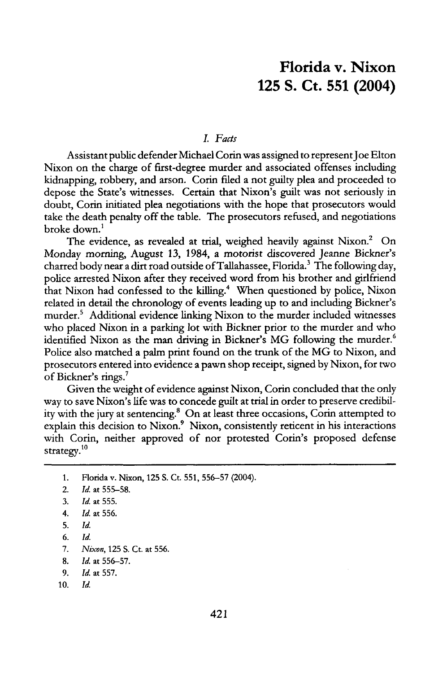### **Florida v. Nixon 125 S. Ct. 551 (2004)**

#### *I. Facts*

Assistant public defender Michael Corin was assigned to represent Joe Elton Nixon on the charge of first-degree murder and associated offenses including kidnapping, robbery, and arson. Corin filed a not guilty plea and proceeded to depose the State's witnesses. Certain that Nixon's guilt was not seriously in doubt, Corin initiated plea negotiations with the hope that prosecutors would take the death penalty off the table. The prosecutors refused, and negotiations broke down.'

The evidence, as revealed at trial, weighed heavily against Nixon.<sup>2</sup> On Monday morning, August 13, 1984, a motorist discovered Jeanne Bickner's charred body near a dirt road outside of Tallahassee, Florida.<sup>3</sup> The following day, police arrested Nixon after they received word from his brother and girlfriend that Nixon had confessed to the killing.<sup>4</sup> When questioned by police, Nixon related in detail the chronology of events leading up to and including Bickner's murder.<sup>5</sup> Additional evidence linking Nixon to the murder included witnesses who placed Nixon in a parking lot with Bickner prior to the murder and who identified Nixon as the man driving in Bickner's MG following the murder.<sup>6</sup> Police also matched a palm print found on the trunk of the MG to Nixon, and prosecutors entered into evidence a pawn shop receipt, signed **by** Nixon, for two of Bickner's rings.'

Given the weight of evidence against Nixon, Corin concluded that the only way to save Nixon's life was to concede guilt at trial in order to preserve credibility with the jury at sentencing.8 On at least three occasions, Corin attempted to explain this decision to Nixon.<sup>9</sup> Nixon, consistently reticent in his interactions with Corin, neither approved of nor protested Corin's proposed defense strategy. $^{10}$ 

- 9. *Id.* at 557.
- 10. Id.

<sup>1.</sup> Florida v. Nixon, **125** S. Ct. **551, 556-57** (2004).

<sup>2.</sup> *Id.* at 555-58.

<sup>3.</sup> *Id.* at 555.

<sup>4.</sup> *Id.* at 556.

<sup>5.</sup> *Id.*

*<sup>6.</sup> Id.*

*<sup>7.</sup> Nixon,* 125 S. Ct. at 556.

<sup>8.</sup> *Id.* at 556-57.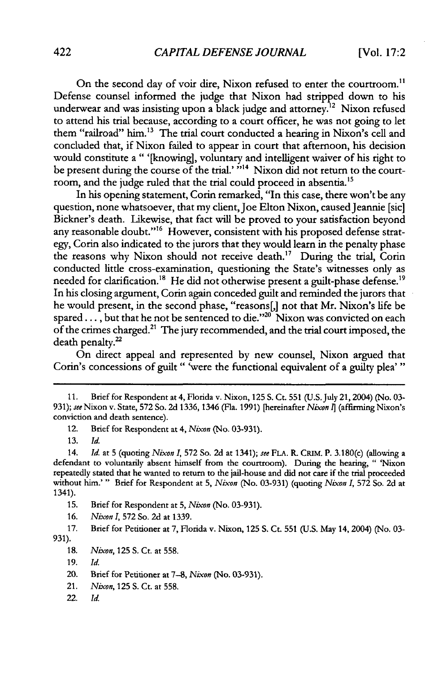On the second day of voir dire, Nixon refused to enter the courtroom.<sup>11</sup> Defense counsel informed the judge that Nixon had stripped down to his underwear and was insisting upon a black judge and attorney.<sup>12</sup> Nixon refused to attend his trial because, according to a court officer, he was not going to let them "railroad" him.<sup>13</sup> The trial court conducted a hearing in Nixon's cell and concluded that, if Nixon failed to appear in court that afternoon, his decision would constitute a **"** '[knowing], voluntary and intelligent waiver of his right to be present during the course of the trial.' <sup>"14</sup> Nixon did not return to the courtroom, and the judge ruled that the trial could proceed in absentia.<sup>15</sup>

In his opening statement, Corin remarked, "In this case, there won't be any question, none whatsoever, that my client, Joe Elton Nixon, caused Jeannie [sic] Bickner's death. Likewise, that fact will be proved to your satisfaction beyond any reasonable doubt."<sup>16</sup> However, consistent with his proposed defense strategy, Corin also indicated to the jurors that they would learn in the penalty phase the reasons why Nixon should not receive death.<sup>17</sup> During the trial, Corin conducted little cross-examination, questioning the State's witnesses only as needed for clarification.<sup>18</sup> He did not otherwise present a guilt-phase defense.<sup>19</sup> In his closing argument, Corin again conceded guilt and reminded the jurors that he would present, in the second phase, "reasons[,] not that Mr. Nixon's life be spared..., but that he not be sentenced to die." $20$  Nixon was convicted on each of the crimes charged.2' The jury recommended, and the trial court imposed, the death penalty.<sup>22</sup>

On direct appeal and represented by new counsel, Nixon argued that Corin's concessions of guilt " 'were the functional equivalent of a guilty plea'"

12. Brief for Respondent at 4, *Nixon* (No. 03-931).

13. *Id.*

14. *Id.* at 5 (quoting *Nixon 1,* 572 So. 2d at 1341); *see* FLA. R. CRIM. P. 3.180(c) (allowing a defendant to voluntarily absent himself from the courtroom). During the hearing, " 'Nixon repeatedly stated that he wanted to return to the jail-house and did not care if the trial proceeded without him.' " Brief for Respondent at **5,** *Nixon* (No. 03-931) (quoting *Nixon 1,* 572 So. 2d at 1341).

15. Brief for Respondent at 5, *Nixon* (No. 03-931).

16. *Nixon I,* 572 So. 2d at 1339.

17. Brief for Petitioner at 7, Florida v. Nixon, 125 **S.** Ct. 551 (U.S. May 14, 2004) (No. 03- 931).

- 20. Brief for Petitioner at 7-8, *Nixon* (No. 03-931).
- 21. *Nixon,* 125 **S.** Ct. at 558.
- 22. *Id.*

<sup>11.</sup> Brief for Respondent at 4, Florida v. Nixon, 125 S. Ct. 551 (U.S.July 21,2004) (No. 03- **931);** *see* Nixon v. State, 572 So. 2d **1336,** 1346 (Fla. **1991)** [hereinafter *Nixon ]* (affirming Nixon's conviction and death sentence).

<sup>18.</sup> *Nixon,* 125 **S.** Ct. at 558.

<sup>19.</sup> *Id.*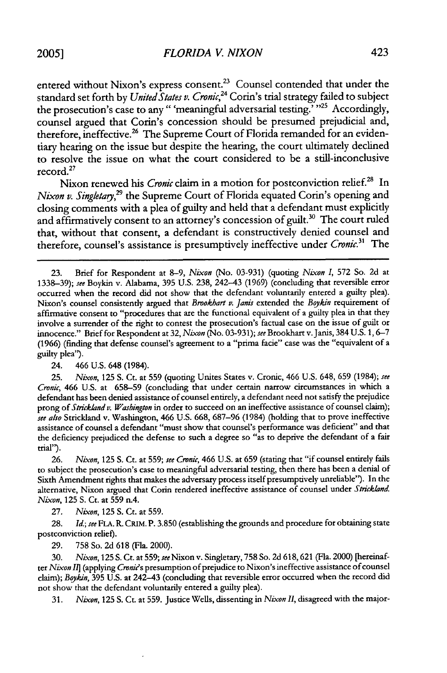entered without Nixon's express consent.<sup>23</sup> Counsel contended that under the standard set forth by *United States v. Cronic*,<sup>24</sup> Corin's trial strategy failed to subject the prosecution's case to any " 'meaningful adversarial testing.' "25 Accordingly, counsel argued that Corin's concession should be presumed prejudicial and, therefore, ineffective.<sup>26</sup> The Supreme Court of Florida remanded for an evidentiary hearing on the issue but despite the hearing, the court ultimately declined to resolve the issue on what the court considered to be a still-inconclusive record.27

Nixon renewed his *Cronic* claim in a motion for postconviction relief.<sup>28</sup> In *Nixon v. Singletary*<sup>29</sup> the Supreme Court of Florida equated Corin's opening and closing comments with a plea of guilty and held that a defendant must explicitly and affirmatively consent to an attorney's concession of guilt.<sup>30</sup> The court ruled that, without that consent, a defendant is constructively denied counsel and therefore, counsel's assistance is presumptively ineffective under *Cronic.3' The*

24. 466 U.S. 648 (1984).

25. *Nixon,* 125 S. Ct. at 559 (quoting Unites States v. Cronic, 466 U.S. 648, 659 (1984); *see Cronic,* 466 U.S. at 658-59 (concluding that under certain narrow circumstances in which a defendant has been denied assistance of counsel entirely, a defendant need not satisfy the prejudice prong of *Strickland v. Washington* in order to succeed on an ineffective assistance of counsel claim); *see also* Strickland v. Washington, 466 U.S. 668, 687-96 (1984) (holding that to prove ineffective assistance of counsel a defendant "must show that counsel's performance was deficient" and that the deficiency prejudiced the defense to such a degree so "as to deprive the defendant of a fair trial").

26. *Nixon,* 125 **S.** Ct. at 559; *see Cronic,* 466 U.S. at 659 (stating that "if counsel entirely fails to subject the prosecution's case to meaningful adversarial testing, then there has been a denial of Sixth Amendment rights that makes the adversary process itself presumptively unreliable'). In the alternative, Nixon argued that Corin rendered ineffective assistance of counsel under *Strickland. Nixon,* 125 **S.** Ct. at 559 n.4.

27. *Nixon,* 125 **S.** Ct. at 559.

28. *Id.; see* FLA. R. CRIM. P. 3.850 (establishing the grounds and procedure for obtaining state postconviction relief).

29. 758 So. 2d 618 (Fla. 2000).

30. *Nixon,* 125 S. Ct. at 559; *see Nixon* v. Singletary, 758 So. 2d 618,621 (Fla. 2000) [hereinafter *Nixon I]* (applying *Croni's* presumption of prejudice to Nixon's ineffective assistance of counsel claim); *Bqykin,* 395 U.S. at 242-43 (concluding that reversible error occurred when the record did not show that the defendant voluntarily entered a guilty plea).

31. *Nixon,* 125 **S.** Ct. at 559. Justice Wells, dissenting in *Nixon* **11,** disagreed with the major-

<sup>23.</sup> Brief for Respondent at 8-9, *Nixon* (No. 03-931) (quoting *Nixon 1,* 572 So. 2d at 1338-39); *see* Boykin v. Alabama, 395 U.S. 238, 242-43 (1969) (concluding that reversible error occurred when the record did not show that the defendant voluntarily entered a guilty plea). Nixon's counsel consistently argued that *Brookhart v. Janis* extended the *Bqykin* requirement of affirmative consent to "procedures that are the functional equivalent of a guilty plea in that they involve a surrender of the right to contest the prosecution's factual case on the issue of guilt or innocence." Brief for Respondent at 32, *Nixon* (No. 03-931); *see* Brookhart v.Janis, 384 U.S. 1, 6-7 (1966) (finding that defense counsel's agreement to a "prima facie" case was the "equivalent of a guilty plea').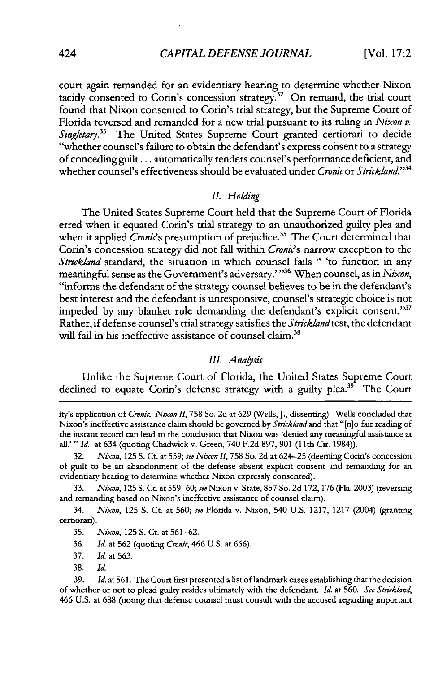court again remanded for an evidentiary hearing to determine whether Nixon tacitly consented to Corin's concession strategy.<sup>32</sup> On remand, the trial court found that Nixon consented to Corin's trial strategy, but the Supreme Court of Florida reversed and remanded for a new trial pursuant to its ruling in *Nixon v. Singletay.33* The United States Supreme Court granted certiorari to decide "whether counsel's failure to obtain the defendant's express consent to a strategy of conceding guilt... automatically renders counsel's performance deficient, and whether counsel's effectiveness should be evaluated under *Cronicor Strickland."34*

#### *II. Holding*

The United States Supreme Court held that the Supreme Court of Florida erred when it equated Corin's trial strategy to an unauthorized guilty plea and when it applied *Cronic*'s presumption of prejudice.<sup>35</sup> The Court determined that Corin's concession strategy did not fall within *Croni's* narrow exception to the *Strickland* standard, the situation in which counsel fails " 'to function in any meaningful sense as the Government's adversary.'"<sup>36</sup> When counsel, as in *Nixon*, "informs the defendant of the strategy counsel believes to be in the defendant's best interest and the defendant is unresponsive, counsel's strategic choice is not impeded by any blanket rule demanding the defendant's explicit consent."37 Rather, if defense counsel's trial strategy satisfies the *Strickland* test, the defendant will fail in his ineffective assistance of counsel claim.<sup>38</sup>

#### *III. Anaysis*

Unlike the Supreme Court of Florida, the United States Supreme Court declined to equate Corin's defense strategy with a guilty plea.<sup>39</sup> The Court

34. *Nixon,* 125 **S.** Ct. at **560;** *see* Florida v. Nixon, 540 U.S. 1217, 1217 (2004) (granting certiorari).

ity's application of *Cronic. Nixon II,* 758 So. 2d at **629** (Wells, J., dissenting). Wells concluded that Nixon's ineffective assistance claim should be governed by *Stricklandand* that "[n]o fair reading of the instant record can lead to the conclusion that Nixon was 'denied any meaningful assistance at all.' *" Id.* at 634 (quoting Chadwick v. Green, 740 F.2d **897, 901** (11th Cit. 1984)).

<sup>32.</sup> *Nixon,* 125 S. Ct. at **559;** *see Nixon II,* 758 So. 2d at 624-25 (deeming Corin's concession of guilt to be an abandonment of the defense absent explicit consent and remanding for an evidentiary hearing to determine whether Nixon expressly consented).

<sup>33.</sup> *Nixon,* 125 S. Ct. at **559-60;** *see* Nixon v. State, 857 So. 2d 172, **176** (Fla. 2003) (reversing and remanding based on Nixon's ineffective assistance of counsel claim).

<sup>35.</sup> *Nixon,* 125 S. Ct. at 561-62.

<sup>36.</sup> *Id.* at 562 (quoting *Cronic,* 466 U.S. at 666).

<sup>37.</sup> *Id.* at 563.

<sup>38.</sup> *Id.*

<sup>39.</sup> *Id.* at 561. The Court first presented a list of landmark cases establishing that the decision of whether or not to plead guilty resides ultimately with the defendant. *Id.* at 560. *See Strckland,* 466 U.S. at 688 (noting that defense counsel must consult with the accused regarding important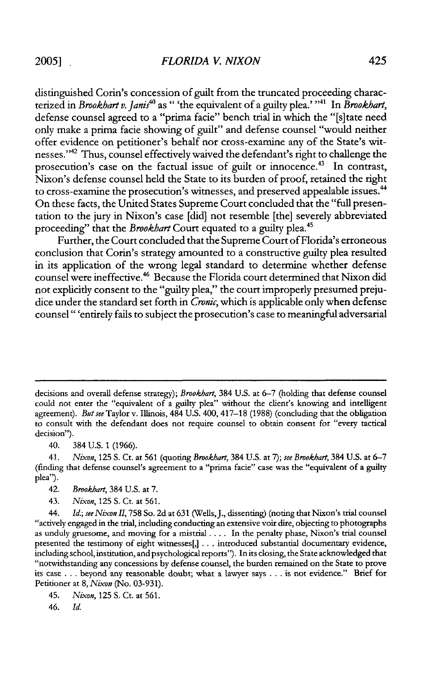distinguished Corin's concession of guilt from the truncated proceeding characterized in *Brookhart v. Janis<sup>40</sup>* as " 'the equivalent of a guilty plea.' "<sup>41</sup> In *Brookhart*, defense counsel agreed to a "prima facie" bench trial in which the "[s]tate need only make a prima facie showing of guilt" and defense counsel "would neither offer evidence on petitioner's behalf nor cross-examine any of the State's witnesses."42 Thus, counsel effectively waived the defendant's right to challenge the prosecution's case on the factual issue of guilt or innocence.<sup>43</sup> In contrast, Nixon's defense counsel held the State to its burden of proof, retained the right to cross-examine the prosecution's witnesses, and preserved appealable issues.<sup>44</sup> On these facts, the United States Supreme Court concluded that the "full presentation to the jury in Nixon's case [did] not resemble [the] severely abbreviated proceeding" that the *Brookhart* Court equated to a guilty plea.45

Further, the Court concluded that the Supreme Court of Florida's erroneous conclusion that Corin's strategy amounted to a constructive guilty plea resulted in its application of the wrong legal standard to determine whether defense counsel were ineffective.46 Because the Florida court determined that Nixon did not explicitly consent to the "guilty plea," the court improperly presumed prejudice under the standard set forth in *Cronic,* which is applicable only when defense counsel" 'entirely fails to subject the prosecution's case to meaningful adversarial

decisions and overall defense strategy); Brookhart, 384 U.S. at 6-7 (holding that defense counsel could not enter the "equivalent of a guilty plea" without the client's knowing and intelligent agreement). *But see* Taylor v. Illinois, 484 U.S. 400, 417-18 (1988) (concluding that the obligation to consult with the defendant does not require counsel to obtain consent for "every tactical decision").

40. 384 U.S. 1 (1966).

41. Nixon, 125 **S.** Ct. at 561 (quoting Brookhart, 384 U.S. at 7); see Brookhart, 384 U.S. at 6-7 (finding that defense counsel's agreement to a "prima facie" case was the "equivalent of a guilty plea").

42. Brookhart, 384 U.S. at 7.

43. *Nixon,* 125 **S.** Ct. at 561.

44. *Id.; see Nixon I,* 758 So. 2d at 631 (Wells,J., dissenting) (noting that Nixon's trial counsel "actively engaged in the trial, including conducting an extensive voir dire, objecting to photographs as unduly gruesome, and moving for a mistrial .... In the penalty phase, Nixon's trial counsel presented the testimony of eight witnesses[,] ... introduced substantial documentary evidence, including school, institution, and psychological reports''). In its closing, the State acknowledged that "notwithstanding any concessions by defense counsel, the burden remained on the State to prove its case . . . beyond any reasonable doubt; what a lawyer says . . . is not evidence." Brief for Petitioner at 8, *Nixon* (No. 03-931).

45. *Nixon,* 125 **S.** Ct. at 561.

46. *Id.*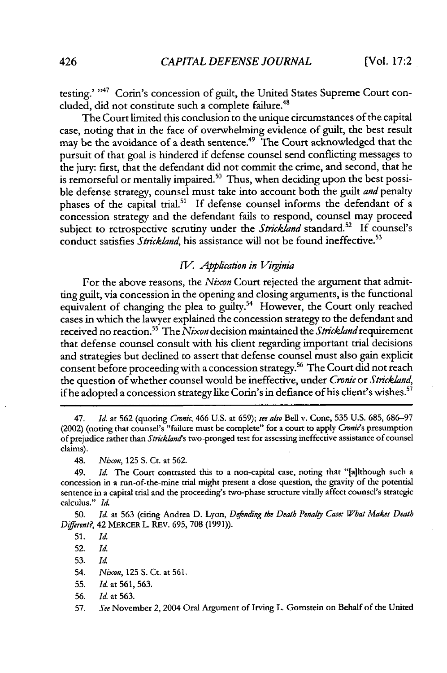testing.' "<sup>47</sup> Corin's concession of guilt, the United States Supreme Court concluded, did not constitute such a complete failure.<sup>48</sup>

The Court limited this conclusion to the unique circumstances of the capital case, noting that in the face of overwhelming evidence of guilt, the best result may be the avoidance of a death sentence.<sup>49</sup> The Court acknowledged that the pursuit of that goal is hindered if defense counsel send conflicting messages to the jury: first, that the defendant did not commit the crime, and second, that he is remorseful or mentally impaired.<sup>50</sup> Thus, when deciding upon the best possible defense strategy, counsel must take into account both the guilt *and* penalty phases of the capital trial.<sup>51</sup> If defense counsel informs the defendant of a concession strategy and the defendant fails to respond, counsel may proceed subject to retrospective scrutiny under the *Strickland* standard.<sup>52</sup> If counsel's conduct satisfies *Strickland*, his assistance will not be found ineffective.<sup>53</sup>

#### *IV. Application in Virginia*

For the above reasons, the *Nixon* Court rejected the argument that admitting guilt, via concession in the opening and closing arguments, is the functional equivalent of changing the plea to guilty.<sup>54</sup> However, the Court only reached cases in which the lawyer explained the concession strategy to the defendant and received no reaction.<sup>55</sup> The *Nixon* decision maintained the *Strickland* requirement that defense counsel consult with his client regarding important trial decisions and strategies but declined to assert that defense counsel must also gain explicit consent before proceeding with a concession strategy.<sup>56</sup> The Court did not reach the question of whether counsel would be ineffective, under *Cronic* or *Strickland,* if he adopted a concession strategy like Corin's in defiance of his client's wishes.<sup>57</sup>

47. *Id.* at 562 (quoting *Cronic,* 466 U.S. at 659); *see also* Bell v. Cone, 535 U.S. 685, 686-97 (2002) (noting that counsel's "failure must be complete" for a court to apply *Croni's* presumption of prejudice rather than *Stricklands* two-pronged test for assessing ineffective assistance of counsel claims).

48. *Nixon,* 125 S. Ct. at 562.

49. *Id.* The Court contrasted this to a non-capital case, noting that "[a]lthough such a concession in a run-of-the-mine trial might present a close question, the gravity of the potential sentence in a capital trial and the proceeding's two-phase structure vitally affect counsel's strategic calculus." *Id.*

**50.** *Id.* at **563** (citing Andrea D. Lyon, *Defending the Death Penaly Case: What Makes Death Different?,* 42 MERCER L. REv. **695,** 708 (1991)).

52. Id.

56. *Id.* at 563.

<sup>51.</sup> Id.

<sup>53.</sup> *Id*

<sup>54.</sup> *Nixon,* **125** S. Ct. at 561.

<sup>55.</sup> Id. at 561, 563.

<sup>57.</sup> *See* November 2, 2004 Oral Argument of Irving L. Gomstein on Behalf of the United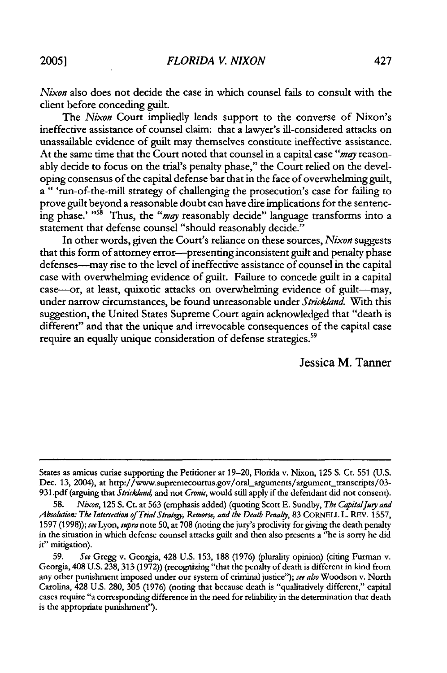*Nixon* also does not decide the case in which counsel fails to consult with the client before conceding guilt.

*The Nixon* Court impliedly lends support to the converse of Nixon's ineffective assistance of counsel claim: that a lawyer's ill-considered attacks on unassailable evidence of guilt may themselves constitute ineffective assistance. At the same time that the Court noted that counsel in a capital case *"may* reasonably decide to focus on the trial's penalty phase," the Court relied on the developing consensus of the capital defense bar that in the face of overwhelming guilt, **a** " 'run-of-the-mill strategy of challenging the prosecution's case for failing to prove guilt beyond a reasonable doubt can have dire implications for the sentencing phase.' "<sup>58</sup> Thus, the "may reasonably decide" language transforms into a statement that defense counsel "should reasonably decide."

In other words, given the Court's reliance on these sources, *Nixon* suggests that this form of attorney error--presenting inconsistent guilt and penalty phase defenses-may rise to the level of ineffective assistance of counsel in the capital case with overwhelming evidence of guilt. Failure to concede guilt in a capital case---or, at least, quixotic attacks on overwhelming evidence of guilt---may, under narrow circumstances, be found unreasonable under *Strickland.* With this suggestion, the United States Supreme Court again acknowledged that "death is different" and that the unique and irrevocable consequences of the capital case require an equally unique consideration of defense strategies.<sup>59</sup>

Jessica M. Tanner

States as amicus curiae supporting the Petitioner at 19-20, Florida v. Nixon, 125 S. Ct. 551 (U.S. Dec. 13, 2004), at http://www.supremecourtus.gov/oral\_arguments/argument\_transcripts/03-931.pdf (arguing that *Strickland,* and **not** *Cronic,* would still apply if the defendant did not consent).

**<sup>58.</sup>** *Nixon,* **125** S. **Ct.** at **563** (emphasis added) (quoting Scott E. Sundby, *The CapitalJugy and* Absolution: The Intersection of Trial Strategy, Remorse, and the Death Penalty, 83 CORNELL L. REV. 1557, 1597 (1998)); *see* Lyon, *supra* note 50, at **708** (noting the jury's proclivity for giving the death penalty in the situation in which defense counsel attacks guilt and then also presents a "he is sorry he did it" mitigation).

**<sup>59.</sup>** *See* Gregg v. Georgia, 428 U.S. **153,** 188 (1976) (plurality opinion) (citing Furman v. Georgia, 408 U.S. **238,** 313 (1972)) (recognizing "that the penalty of death is different in kind from any other punishment imposed under our system of criminal justice"); *see also* Woodson v. North Carolina, 428 U.S. 280, **305** (1976) (noting that because death is "qualitatively different," capital cases require "a corresponding difference in the need for reliability in the determination that death is the appropriate punishment').